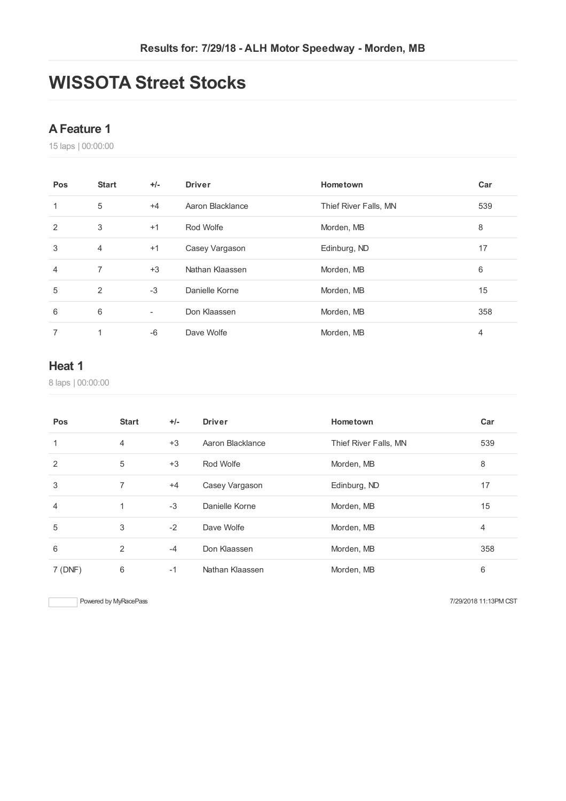# **WISSOTA Street Stocks**

### **AFeature 1**

laps | 00:00:00

| Pos            | <b>Start</b>   | $+/-$                    | <b>Driver</b>    | Hometown              | Car |
|----------------|----------------|--------------------------|------------------|-----------------------|-----|
| 1              | 5              | $+4$                     | Aaron Blacklance | Thief River Falls, MN | 539 |
| $\overline{2}$ | 3              | $+1$                     | Rod Wolfe        | Morden, MB            | 8   |
| 3              | 4              | $+1$                     | Casey Vargason   | Edinburg, ND          | 17  |
| 4              | 7              | $+3$                     | Nathan Klaassen  | Morden, MB            | 6   |
| 5              | $\overline{2}$ | $-3$                     | Danielle Korne   | Morden, MB            | 15  |
| 6              | 6              | $\overline{\phantom{a}}$ | Don Klaassen     | Morden, MB            | 358 |
| 7              | 1              | $-6$                     | Dave Wolfe       | Morden, MB            | 4   |

#### **Heat 1**

laps | 00:00:00

| Pos     | <b>Start</b>   | $+/-$ | <b>Driver</b>    | Hometown              | Car            |
|---------|----------------|-------|------------------|-----------------------|----------------|
| 1       | 4              | $+3$  | Aaron Blacklance | Thief River Falls, MN | 539            |
| 2       | 5              | $+3$  | Rod Wolfe        | Morden, MB            | 8              |
| 3       | $\overline{7}$ | $+4$  | Casey Vargason   | Edinburg, ND          | 17             |
| 4       | 1              | $-3$  | Danielle Korne   | Morden, MB            | 15             |
| 5       | 3              | $-2$  | Dave Wolfe       | Morden, MB            | $\overline{4}$ |
| 6       | 2              | $-4$  | Don Klaassen     | Morden, MB            | 358            |
| 7 (DNF) | 6              | $-1$  | Nathan Klaassen  | Morden, MB            | 6              |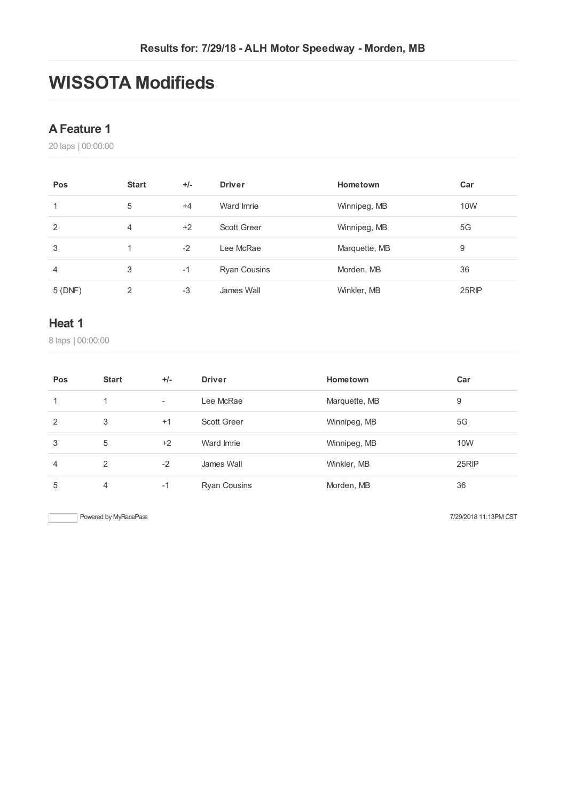# **WISSOTA Modifieds**

### **AFeature 1**

laps | 00:00:00

| Pos    | <b>Start</b> | $+/-$ | <b>Driver</b>       | Hometown      | Car   |
|--------|--------------|-------|---------------------|---------------|-------|
|        | 5            | $+4$  | Ward Imrie          | Winnipeg, MB  | 10W   |
| 2      | 4            | $+2$  | <b>Scott Greer</b>  | Winnipeg, MB  | 5G    |
| 3      |              | $-2$  | Lee McRae           | Marquette, MB | 9     |
| 4      | 3            | $-1$  | <b>Ryan Cousins</b> | Morden, MB    | 36    |
| 5(DNF) | 2            | $-3$  | James Wall          | Winkler, MB   | 25RIP |

#### **Heat 1**

laps | 00:00:00

| Pos            | <b>Start</b> | $+/-$                    | <b>Driver</b>       | Hometown      | Car   |
|----------------|--------------|--------------------------|---------------------|---------------|-------|
| 1              | $\mathbf{1}$ | $\overline{\phantom{a}}$ | Lee McRae           | Marquette, MB | 9     |
| 2              | 3            | $+1$                     | Scott Greer         | Winnipeg, MB  | 5G    |
| 3              | 5            | $+2$                     | Ward Imrie          | Winnipeg, MB  | 10W   |
| $\overline{4}$ | 2            | $-2$                     | James Wall          | Winkler, MB   | 25RIP |
| 5              | 4            | $-1$                     | <b>Ryan Cousins</b> | Morden, MB    | 36    |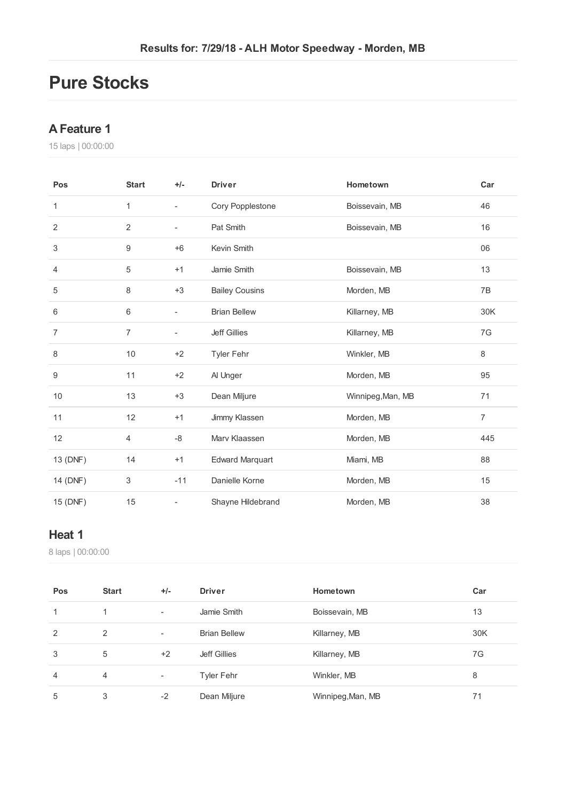## **Pure Stocks**

### **AFeature 1**

laps | 00:00:00

| Pos      | <b>Start</b>   | $+/-$                    | <b>Driver</b>          | Hometown          | Car            |
|----------|----------------|--------------------------|------------------------|-------------------|----------------|
| 1        | 1              | $\overline{\phantom{a}}$ | Cory Popplestone       | Boissevain, MB    | 46             |
| 2        | $\overline{2}$ | $\overline{\phantom{a}}$ | Pat Smith              | Boissevain, MB    | 16             |
| 3        | 9              | $+6$                     | Kevin Smith            |                   | 06             |
| 4        | 5              | $+1$                     | Jamie Smith            | Boissevain, MB    | 13             |
| 5        | 8              | $+3$                     | <b>Bailey Cousins</b>  | Morden, MB        | 7B             |
| 6        | 6              | $\overline{\phantom{a}}$ | <b>Brian Bellew</b>    | Killarney, MB     | 30K            |
| 7        | 7              | $\overline{\phantom{a}}$ | <b>Jeff Gillies</b>    | Killarney, MB     | 7G             |
| 8        | 10             | $+2$                     | <b>Tyler Fehr</b>      | Winkler, MB       | 8              |
| 9        | 11             | $+2$                     | Al Unger               | Morden, MB        | 95             |
| 10       | 13             | $+3$                     | Dean Miljure           | Winnipeg, Man, MB | 71             |
| 11       | 12             | $+1$                     | Jimmy Klassen          | Morden, MB        | $\overline{7}$ |
| 12       | 4              | $-8$                     | Mary Klaassen          | Morden, MB        | 445            |
| 13 (DNF) | 14             | $+1$                     | <b>Edward Marquart</b> | Miami, MB         | 88             |
| 14 (DNF) | 3              | $-11$                    | Danielle Korne         | Morden, MB        | 15             |
| 15 (DNF) | 15             | $\overline{a}$           | Shayne Hildebrand      | Morden, MB        | 38             |

### **Heat 1**

laps | 00:00:00

| Pos            | <b>Start</b> | $+/-$                    | <b>Driver</b>       | Hometown          | Car |
|----------------|--------------|--------------------------|---------------------|-------------------|-----|
| 1              | 1            | $\overline{\phantom{a}}$ | Jamie Smith         | Boissevain, MB    | 13  |
| $\overline{2}$ | 2            | ٠                        | <b>Brian Bellew</b> | Killarney, MB     | 30K |
| 3              | 5            | $+2$                     | <b>Jeff Gillies</b> | Killarney, MB     | 7G  |
| $\overline{4}$ | 4            | $\overline{\phantom{a}}$ | <b>Tyler Fehr</b>   | Winkler, MB       | 8   |
| 5              | 3            | $-2$                     | Dean Miljure        | Winnipeg, Man, MB | 71  |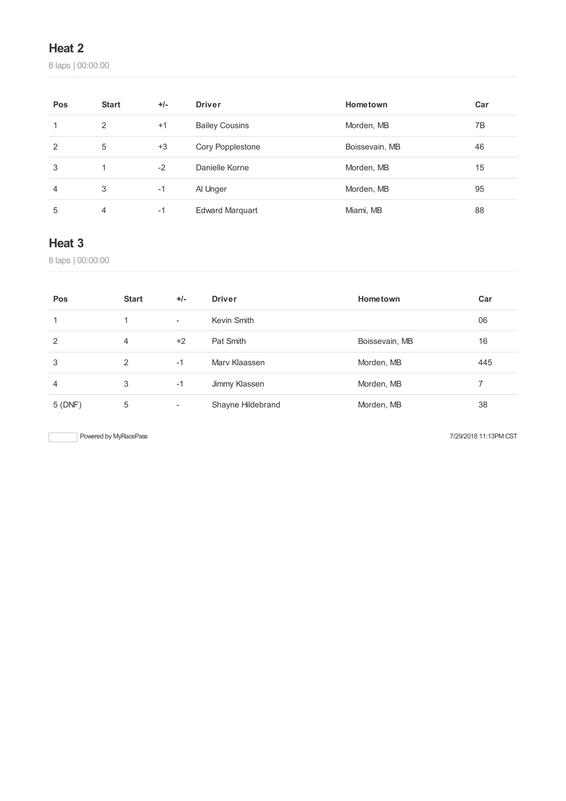## **Heat 2**

laps | 00:00:00

| Pos | <b>Start</b> | $+/-$ | <b>Driver</b>          | Hometown       | Car |
|-----|--------------|-------|------------------------|----------------|-----|
|     | 2            | $+1$  | <b>Bailey Cousins</b>  | Morden, MB     | 7B  |
| 2   | 5            | $+3$  | Cory Popplestone       | Boissevain, MB | 46  |
| 3   | 1            | $-2$  | Danielle Korne         | Morden, MB     | 15  |
| 4   | 3            | $-1$  | Al Unger               | Morden, MB     | 95  |
| 5   | 4            | -1    | <b>Edward Marguart</b> | Miami, MB      | 88  |

### **Heat 3**

laps | 00:00:00

| Pos    | <b>Start</b> | $+/-$                    | <b>Driver</b>     | Hometown       | Car |
|--------|--------------|--------------------------|-------------------|----------------|-----|
|        |              | $\overline{\phantom{a}}$ | Kevin Smith       |                | 06  |
| 2      | 4            | $+2$                     | Pat Smith         | Boissevain, MB | 16  |
| 3      | 2            | $-1$                     | Mary Klaassen     | Morden, MB     | 445 |
| 4      | 3            | $-1$                     | Jimmy Klassen     | Morden, MB     |     |
| 5(DNF) | 5            | -                        | Shayne Hildebrand | Morden, MB     | 38  |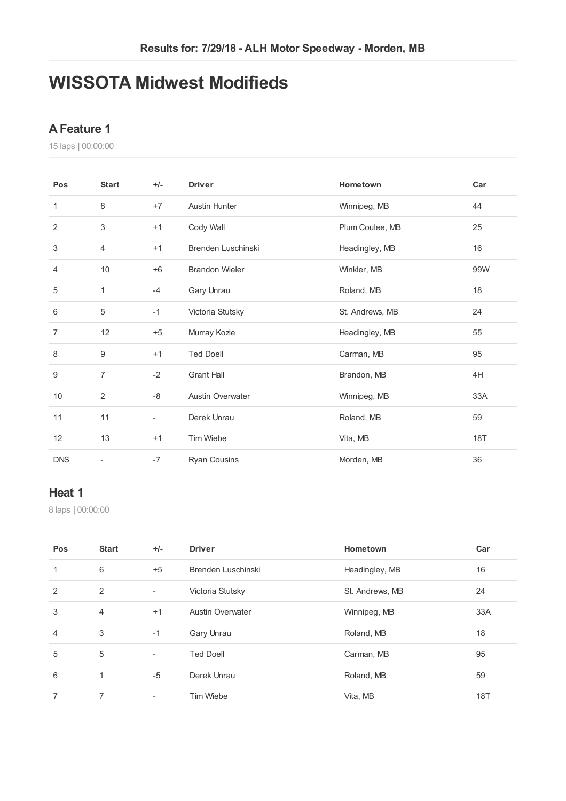# **WISSOTA Midwest Modifieds**

### **AFeature 1**

laps | 00:00:00

| Pos            | <b>Start</b>     | $+/-$                    | <b>Driver</b>           | Hometown        | Car |
|----------------|------------------|--------------------------|-------------------------|-----------------|-----|
| 1              | 8                | $+7$                     | <b>Austin Hunter</b>    | Winnipeg, MB    | 44  |
| 2              | 3                | $+1$                     | Cody Wall               | Plum Coulee, MB | 25  |
| 3              | $\overline{4}$   | $+1$                     | Brenden Luschinski      | Headingley, MB  | 16  |
| 4              | 10               | $+6$                     | <b>Brandon Wieler</b>   | Winkler, MB     | 99W |
| 5              | 1                | $-4$                     | Gary Unrau              | Roland, MB      | 18  |
| 6              | 5                | $-1$                     | Victoria Stutsky        | St. Andrews, MB | 24  |
| $\overline{7}$ | 12               | $+5$                     | Murray Kozie            | Headingley, MB  | 55  |
| 8              | $\boldsymbol{9}$ | $+1$                     | <b>Ted Doell</b>        | Carman, MB      | 95  |
| 9              | $\overline{7}$   | $-2$                     | <b>Grant Hall</b>       | Brandon, MB     | 4H  |
| $10$           | 2                | -8                       | <b>Austin Overwater</b> | Winnipeg, MB    | 33A |
| 11             | 11               | $\overline{\phantom{a}}$ | Derek Unrau             | Roland, MB      | 59  |
| 12             | 13               | $+1$                     | <b>Tim Wiebe</b>        | Vita, MB        | 18T |
| <b>DNS</b>     | -                | $-7$                     | Ryan Cousins            | Morden, MB      | 36  |

#### **Heat 1**

laps | 00:00:00

| Pos            | <b>Start</b>   | $+/-$                    | <b>Driver</b>           | Hometown        | Car |
|----------------|----------------|--------------------------|-------------------------|-----------------|-----|
| 1              | 6              | $+5$                     | Brenden Luschinski      | Headingley, MB  | 16  |
| 2              | $\overline{2}$ | $\overline{\phantom{0}}$ | Victoria Stutsky        | St. Andrews, MB | 24  |
| 3              | 4              | $+1$                     | <b>Austin Overwater</b> | Winnipeg, MB    | 33A |
| $\overline{4}$ | 3              | $-1$                     | Gary Unrau              | Roland, MB      | 18  |
| 5              | 5              | $\overline{\phantom{a}}$ | <b>Ted Doell</b>        | Carman, MB      | 95  |
| 6              | 1              | $-5$                     | Derek Unrau             | Roland, MB      | 59  |
| 7              | 7              |                          | Tim Wiebe               | Vita, MB        | 18T |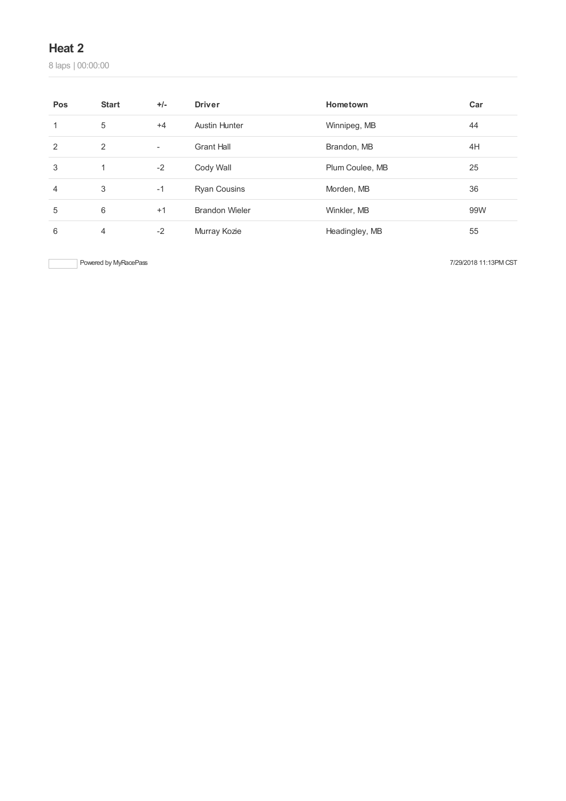### **Heat 2**

laps | 00:00:00

| Pos | <b>Start</b> | $+/-$                    | <b>Driver</b>         | Hometown        | Car |
|-----|--------------|--------------------------|-----------------------|-----------------|-----|
|     | 5            | $+4$                     | <b>Austin Hunter</b>  | Winnipeg, MB    | 44  |
| 2   | 2            | $\overline{\phantom{a}}$ | <b>Grant Hall</b>     | Brandon, MB     | 4H  |
| 3   | 1            | $-2$                     | Cody Wall             | Plum Coulee, MB | 25  |
| 4   | 3            | $-1$                     | <b>Ryan Cousins</b>   | Morden, MB      | 36  |
| 5   | 6            | $+1$                     | <b>Brandon Wieler</b> | Winkler, MB     | 99W |
| 6   | 4            | $-2$                     | Murray Kozie          | Headingley, MB  | 55  |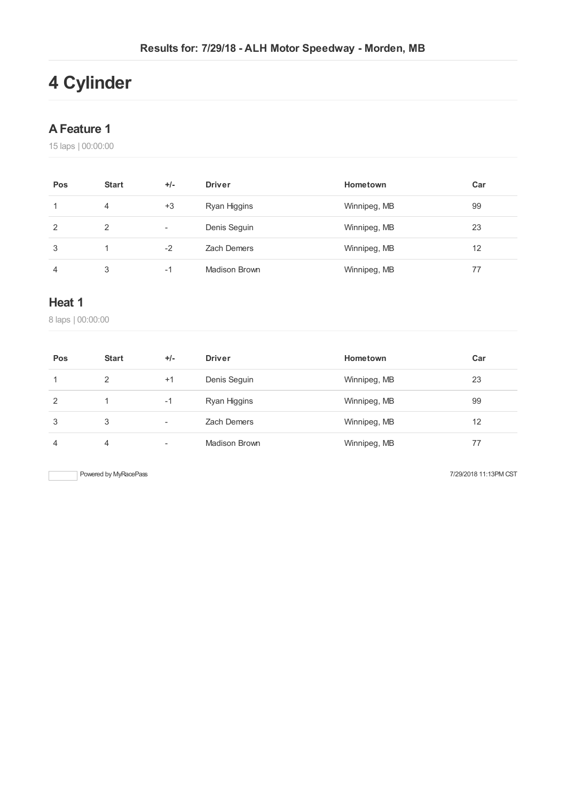# **Cylinder**

## **AFeature 1**

laps | 00:00:00

| Pos | <b>Start</b> | $+/-$ | <b>Driver</b>      | Hometown     | Car |
|-----|--------------|-------|--------------------|--------------|-----|
|     | 4            | $+3$  | Ryan Higgins       | Winnipeg, MB | 99  |
| 2   | 2            | ۰     | Denis Seguin       | Winnipeg, MB | 23  |
| 3   |              | $-2$  | <b>Zach Demers</b> | Winnipeg, MB | 12  |
| 4   | 3            | -1    | Madison Brown      | Winnipeg, MB | 77  |

### **Heat 1**

laps | 00:00:00

| Pos | <b>Start</b> | $+/-$ | <b>Driver</b>        | Hometown     | Car |
|-----|--------------|-------|----------------------|--------------|-----|
|     | 2            | $+1$  | Denis Seguin         | Winnipeg, MB | 23  |
| 2   |              | $-1$  | Ryan Higgins         | Winnipeg, MB | 99  |
| 3   | 3            | -     | <b>Zach Demers</b>   | Winnipeg, MB | 12  |
| 4   | 4            | ۰     | <b>Madison Brown</b> | Winnipeg, MB | 77  |